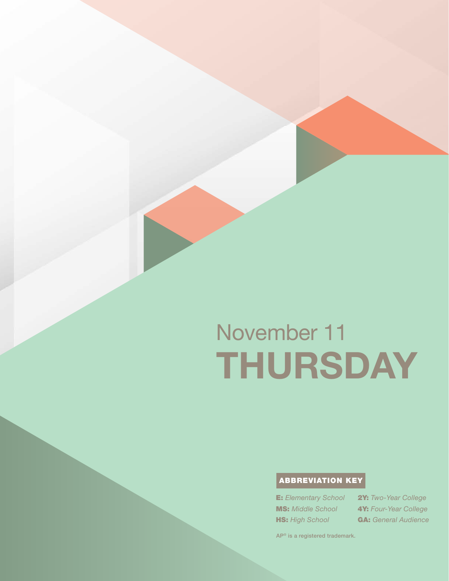# November 11 THURSDAY

# ABBREVIATION KEY

E: *Elementary School* MS: *Middle School* **HS:** High School

2Y: *Two-Year College* 4Y: *Four-Year College* GA: *General Audience*

AP® is a registered trademark.